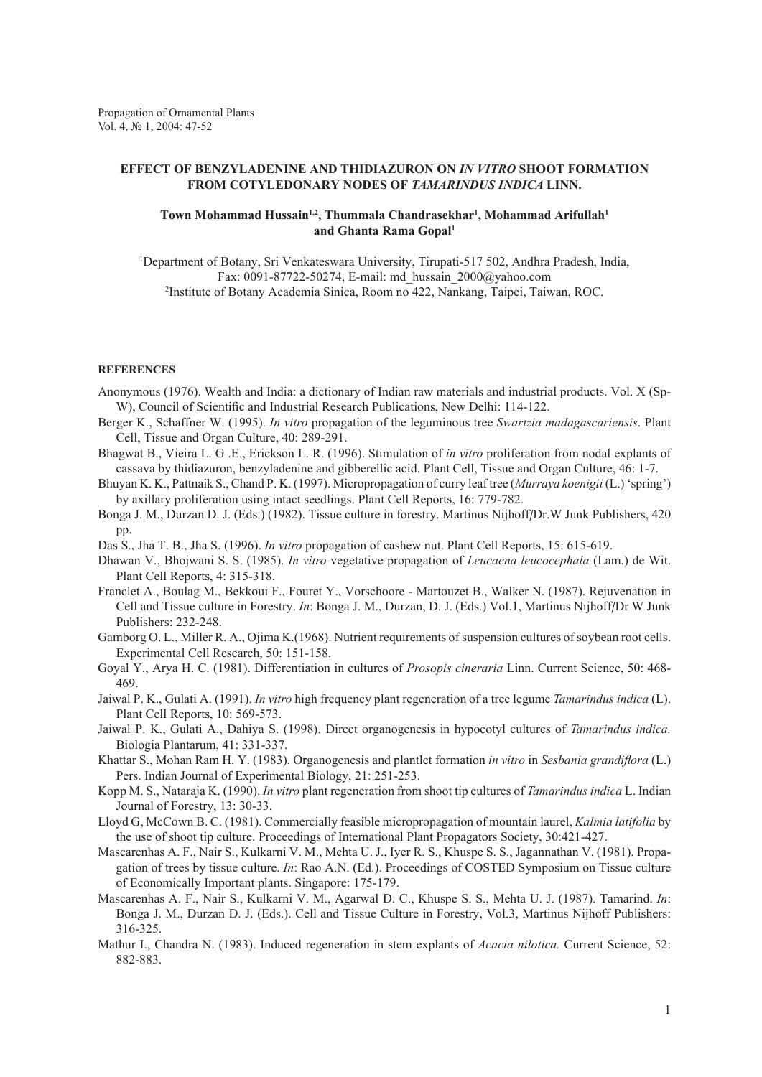## **EFFECT OF BENZYLADENINE AND THIDIAZURON ON** *IN VITRO* **SHOOT FORMATION FROM COTYLEDONARY NODES OF** *TAMARINDUS INDICA* **LINN.**

## Town Mohammad Hussain<sup>1,2</sup>, Thummala Chandrasekhar<sup>1</sup>, Mohammad Arifullah<sup>1</sup> **and Ghanta Rama Gopal1**

1 Department of Botany, Sri Venkateswara University, Tirupati-517 502, Andhra Pradesh, India, Fax: 0091-87722-50274, E-mail: md\_hussain\_2000@yahoo.com 2 Institute of Botany Academia Sinica, Room no 422, Nankang, Taipei, Taiwan, ROC.

## **REFERENCES**

- Anonymous (1976). Wealth and India: a dictionary of Indian raw materials and industrial products. Vol. X (Sp-W), Council of Scientific and Industrial Research Publications, New Delhi: 114-122.
- Berger K., Schaffner W. (1995). *In vitro* propagation of the leguminous tree *Swartzia madagascariensis*. Plant Cell, Tissue and Organ Culture, 40: 289-291.
- Bhagwat B., Vieira L. G .E., Erickson L. R. (1996). Stimulation of *in vitro* proliferation from nodal explants of cassava by thidiazuron, benzyladenine and gibberellic acid. Plant Cell, Tissue and Organ Culture, 46: 1-7.
- Bhuyan K. K., Pattnaik S., Chand P. K. (1997). Micropropagation of curry leaf tree (*Murraya koenigii* (L.) 'spring') by axillary proliferation using intact seedlings. Plant Cell Reports, 16: 779-782.
- Bonga J. M., Durzan D. J. (Eds.) (1982). Tissue culture in forestry. Martinus Nijhoff/Dr.W Junk Publishers, 420 pp.
- Das S., Jha T. B., Jha S. (1996). *In vitro* propagation of cashew nut. Plant Cell Reports, 15: 615-619.
- Dhawan V., Bhojwani S. S. (1985). *In vitro* vegetative propagation of *Leucaena leucocephala* (Lam.) de Wit. Plant Cell Reports, 4: 315-318.
- Franclet A., Boulag M., Bekkoui F., Fouret Y., Vorschoore Martouzet B., Walker N. (1987). Rejuvenation in Cell and Tissue culture in Forestry. *In*: Bonga J. M., Durzan, D. J. (Eds.) Vol.1, Martinus Nijhoff/Dr W Junk Publishers: 232-248.
- Gamborg O. L., Miller R. A., Ojima K.(1968). Nutrient requirements of suspension cultures of soybean root cells. Experimental Cell Research, 50: 151-158.
- Goyal Y., Arya H. C. (1981). Differentiation in cultures of *Prosopis cineraria* Linn. Current Science, 50: 468- 469.
- Jaiwal P. K., Gulati A. (1991). *In vitro* high frequency plant regeneration of a tree legume *Tamarindus indica* (L). Plant Cell Reports, 10: 569-573.
- Jaiwal P. K., Gulati A., Dahiya S. (1998). Direct organogenesis in hypocotyl cultures of *Tamarindus indica.* Biologia Plantarum, 41: 331-337.
- Khattar S., Mohan Ram H. Y. (1983). Organogenesis and plantlet formation *in vitro* in *Sesbania grandiflora* (L.) Pers. Indian Journal of Experimental Biology, 21: 251-253.
- Kopp M. S., Nataraja K. (1990). *In vitro* plant regeneration from shoot tip cultures of *Tamarindus indica* L. Indian Journal of Forestry, 13: 30-33.
- Lloyd G, McCown B. C. (1981). Commercially feasible micropropagation of mountain laurel, *Kalmia latifolia* by the use of shoot tip culture. Proceedings of International Plant Propagators Society, 30:421-427.
- Mascarenhas A. F., Nair S., Kulkarni V. M., Mehta U. J., Iyer R. S., Khuspe S. S., Jagannathan V. (1981). Propagation of trees by tissue culture. *In*: Rao A.N. (Ed.). Proceedings of COSTED Symposium on Tissue culture of Economically Important plants. Singapore: 175-179.
- Mascarenhas A. F., Nair S., Kulkarni V. M., Agarwal D. C., Khuspe S. S., Mehta U. J. (1987). Tamarind. *In*: Bonga J. M., Durzan D. J. (Eds.). Cell and Tissue Culture in Forestry, Vol.3, Martinus Nijhoff Publishers: 316-325.
- Mathur I., Chandra N. (1983). Induced regeneration in stem explants of *Acacia nilotica.* Current Science, 52: 882-883.